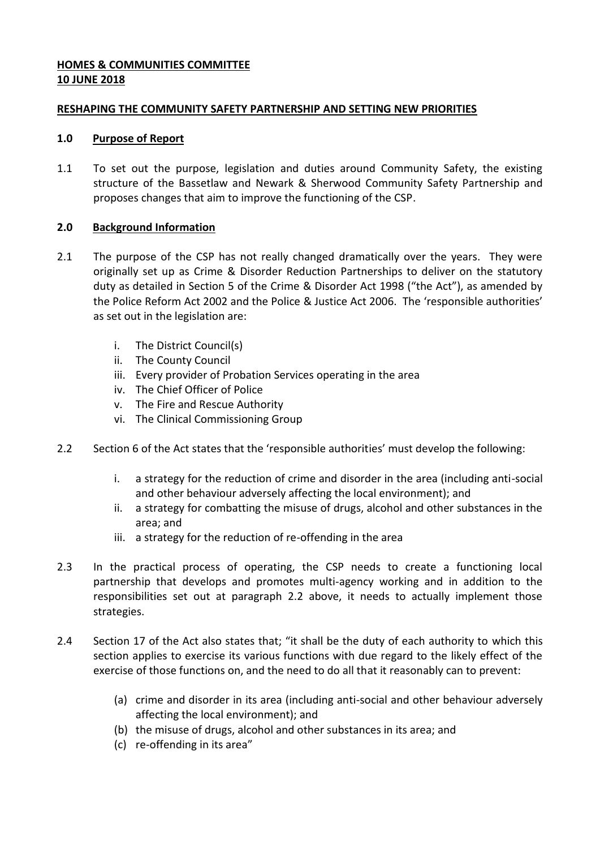# **HOMES & COMMUNITIES COMMITTEE 10 JUNE 2018**

## **RESHAPING THE COMMUNITY SAFETY PARTNERSHIP AND SETTING NEW PRIORITIES**

### **1.0 Purpose of Report**

1.1 To set out the purpose, legislation and duties around Community Safety, the existing structure of the Bassetlaw and Newark & Sherwood Community Safety Partnership and proposes changes that aim to improve the functioning of the CSP.

# **2.0 Background Information**

- 2.1 The purpose of the CSP has not really changed dramatically over the years. They were originally set up as Crime & Disorder Reduction Partnerships to deliver on the statutory duty as detailed in Section 5 of the Crime & Disorder Act 1998 ("the Act"), as amended by the Police Reform Act 2002 and the Police & Justice Act 2006. The 'responsible authorities' as set out in the legislation are:
	- i. The District Council(s)
	- ii. The County Council
	- iii. Every provider of Probation Services operating in the area
	- iv. The Chief Officer of Police
	- v. The Fire and Rescue Authority
	- vi. The Clinical Commissioning Group
- 2.2 Section 6 of the Act states that the 'responsible authorities' must develop the following:
	- i. a strategy for the reduction of crime and disorder in the area (including anti-social and other behaviour adversely affecting the local environment); and
	- ii. a strategy for combatting the misuse of drugs, alcohol and other substances in the area; and
	- iii. a strategy for the reduction of re-offending in the area
- 2.3 In the practical process of operating, the CSP needs to create a functioning local partnership that develops and promotes multi-agency working and in addition to the responsibilities set out at paragraph 2.2 above, it needs to actually implement those strategies.
- 2.4 Section 17 of the Act also states that; "it shall be the duty of each authority to which this section applies to exercise its various functions with due regard to the likely effect of the exercise of those functions on, and the need to do all that it reasonably can to prevent:
	- (a) crime and disorder in its area (including anti-social and other behaviour adversely affecting the local environment); and
	- (b) the misuse of drugs, alcohol and other substances in its area; and
	- (c) re-offending in its area"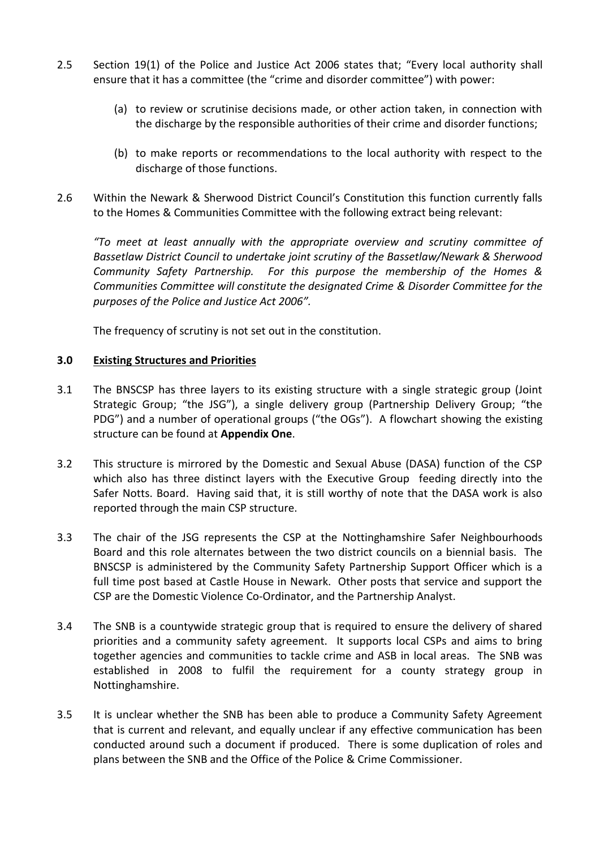- 2.5 Section 19(1) of the Police and Justice Act 2006 states that; "Every local authority shall ensure that it has a committee (the "crime and disorder committee") with power:
	- (a) to review or scrutinise decisions made, or other action taken, in connection with the discharge by the responsible authorities of their crime and disorder functions;
	- (b) to make reports or recommendations to the local authority with respect to the discharge of those functions.
- 2.6 Within the Newark & Sherwood District Council's Constitution this function currently falls to the Homes & Communities Committee with the following extract being relevant:

*"To meet at least annually with the appropriate overview and scrutiny committee of Bassetlaw District Council to undertake joint scrutiny of the Bassetlaw/Newark & Sherwood Community Safety Partnership. For this purpose the membership of the Homes & Communities Committee will constitute the designated Crime & Disorder Committee for the purposes of the Police and Justice Act 2006".*

The frequency of scrutiny is not set out in the constitution.

## **3.0 Existing Structures and Priorities**

- 3.1 The BNSCSP has three layers to its existing structure with a single strategic group (Joint Strategic Group; "the JSG"), a single delivery group (Partnership Delivery Group; "the PDG") and a number of operational groups ("the OGs"). A flowchart showing the existing structure can be found at **Appendix One**.
- 3.2 This structure is mirrored by the Domestic and Sexual Abuse (DASA) function of the CSP which also has three distinct layers with the Executive Group feeding directly into the Safer Notts. Board. Having said that, it is still worthy of note that the DASA work is also reported through the main CSP structure.
- 3.3 The chair of the JSG represents the CSP at the Nottinghamshire Safer Neighbourhoods Board and this role alternates between the two district councils on a biennial basis. The BNSCSP is administered by the Community Safety Partnership Support Officer which is a full time post based at Castle House in Newark. Other posts that service and support the CSP are the Domestic Violence Co-Ordinator, and the Partnership Analyst.
- 3.4 The SNB is a countywide strategic group that is required to ensure the delivery of shared priorities and a community safety agreement. It supports local CSPs and aims to bring together agencies and communities to tackle crime and ASB in local areas. The SNB was established in 2008 to fulfil the requirement for a county strategy group in Nottinghamshire.
- 3.5 It is unclear whether the SNB has been able to produce a Community Safety Agreement that is current and relevant, and equally unclear if any effective communication has been conducted around such a document if produced. There is some duplication of roles and plans between the SNB and the Office of the Police & Crime Commissioner.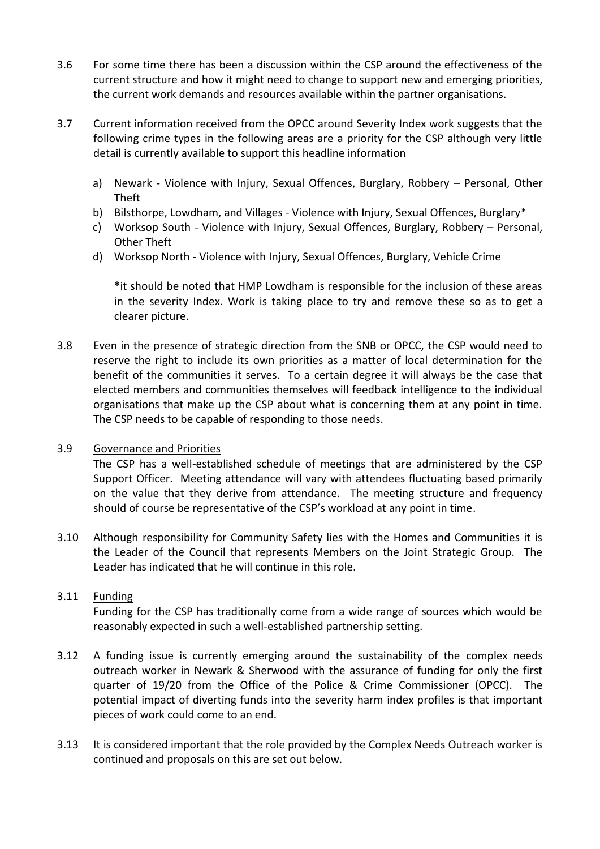- 3.6 For some time there has been a discussion within the CSP around the effectiveness of the current structure and how it might need to change to support new and emerging priorities, the current work demands and resources available within the partner organisations.
- 3.7 Current information received from the OPCC around Severity Index work suggests that the following crime types in the following areas are a priority for the CSP although very little detail is currently available to support this headline information
	- a) Newark Violence with Injury, Sexual Offences, Burglary, Robbery Personal, Other Theft
	- b) Bilsthorpe, Lowdham, and Villages Violence with Injury, Sexual Offences, Burglary\*
	- c) Worksop South Violence with Injury, Sexual Offences, Burglary, Robbery Personal, Other Theft
	- d) Worksop North Violence with Injury, Sexual Offences, Burglary, Vehicle Crime

\*it should be noted that HMP Lowdham is responsible for the inclusion of these areas in the severity Index. Work is taking place to try and remove these so as to get a clearer picture.

3.8 Even in the presence of strategic direction from the SNB or OPCC, the CSP would need to reserve the right to include its own priorities as a matter of local determination for the benefit of the communities it serves. To a certain degree it will always be the case that elected members and communities themselves will feedback intelligence to the individual organisations that make up the CSP about what is concerning them at any point in time. The CSP needs to be capable of responding to those needs.

### 3.9 Governance and Priorities

The CSP has a well-established schedule of meetings that are administered by the CSP Support Officer. Meeting attendance will vary with attendees fluctuating based primarily on the value that they derive from attendance. The meeting structure and frequency should of course be representative of the CSP's workload at any point in time.

3.10 Although responsibility for Community Safety lies with the Homes and Communities it is the Leader of the Council that represents Members on the Joint Strategic Group. The Leader has indicated that he will continue in this role.

# 3.11 Funding

Funding for the CSP has traditionally come from a wide range of sources which would be reasonably expected in such a well-established partnership setting.

- 3.12 A funding issue is currently emerging around the sustainability of the complex needs outreach worker in Newark & Sherwood with the assurance of funding for only the first quarter of 19/20 from the Office of the Police & Crime Commissioner (OPCC). The potential impact of diverting funds into the severity harm index profiles is that important pieces of work could come to an end.
- 3.13 It is considered important that the role provided by the Complex Needs Outreach worker is continued and proposals on this are set out below.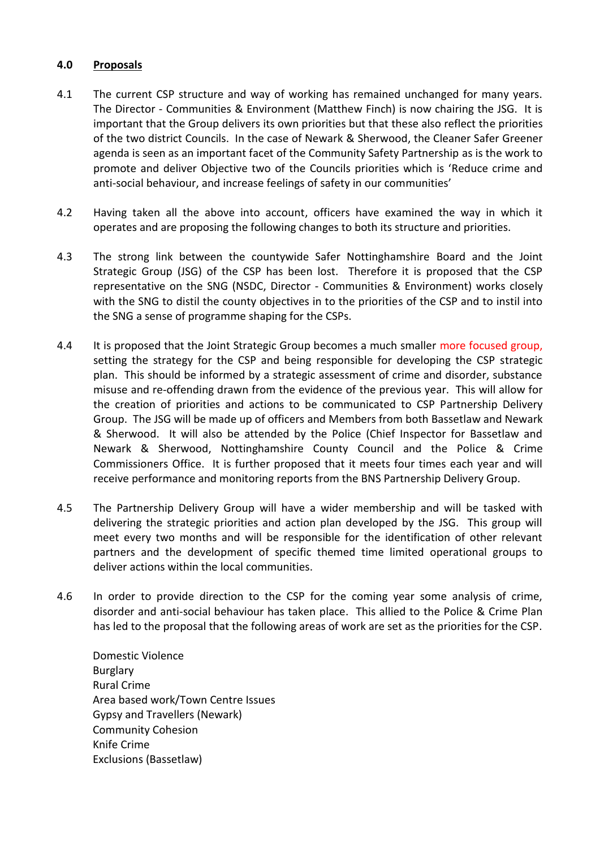### **4.0 Proposals**

- 4.1 The current CSP structure and way of working has remained unchanged for many years. The Director - Communities & Environment (Matthew Finch) is now chairing the JSG. It is important that the Group delivers its own priorities but that these also reflect the priorities of the two district Councils. In the case of Newark & Sherwood, the Cleaner Safer Greener agenda is seen as an important facet of the Community Safety Partnership as is the work to promote and deliver Objective two of the Councils priorities which is 'Reduce crime and anti-social behaviour, and increase feelings of safety in our communities'
- 4.2 Having taken all the above into account, officers have examined the way in which it operates and are proposing the following changes to both its structure and priorities.
- 4.3 The strong link between the countywide Safer Nottinghamshire Board and the Joint Strategic Group (JSG) of the CSP has been lost. Therefore it is proposed that the CSP representative on the SNG (NSDC, Director - Communities & Environment) works closely with the SNG to distil the county objectives in to the priorities of the CSP and to instil into the SNG a sense of programme shaping for the CSPs.
- 4.4 It is proposed that the Joint Strategic Group becomes a much smaller more focused group, setting the strategy for the CSP and being responsible for developing the CSP strategic plan. This should be informed by a strategic assessment of crime and disorder, substance misuse and re-offending drawn from the evidence of the previous year. This will allow for the creation of priorities and actions to be communicated to CSP Partnership Delivery Group. The JSG will be made up of officers and Members from both Bassetlaw and Newark & Sherwood. It will also be attended by the Police (Chief Inspector for Bassetlaw and Newark & Sherwood, Nottinghamshire County Council and the Police & Crime Commissioners Office. It is further proposed that it meets four times each year and will receive performance and monitoring reports from the BNS Partnership Delivery Group.
- 4.5 The Partnership Delivery Group will have a wider membership and will be tasked with delivering the strategic priorities and action plan developed by the JSG. This group will meet every two months and will be responsible for the identification of other relevant partners and the development of specific themed time limited operational groups to deliver actions within the local communities.
- 4.6 In order to provide direction to the CSP for the coming year some analysis of crime, disorder and anti-social behaviour has taken place. This allied to the Police & Crime Plan has led to the proposal that the following areas of work are set as the priorities for the CSP.

Domestic Violence Burglary Rural Crime Area based work/Town Centre Issues Gypsy and Travellers (Newark) Community Cohesion Knife Crime Exclusions (Bassetlaw)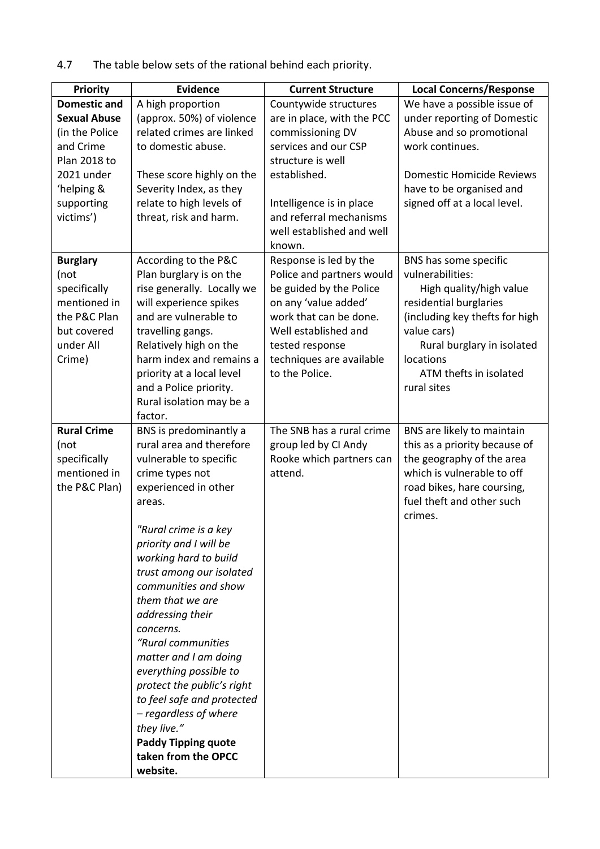4.7 The table below sets of the rational behind each priority.

| <b>Priority</b>                                                                                               | <b>Evidence</b>                                                                                                                                                                                                                                                                                                                                                                                                                                                                                                                                                      | <b>Current Structure</b>                                                                                                                                                                                                  | <b>Local Concerns/Response</b>                                                                                                                                                                                                      |
|---------------------------------------------------------------------------------------------------------------|----------------------------------------------------------------------------------------------------------------------------------------------------------------------------------------------------------------------------------------------------------------------------------------------------------------------------------------------------------------------------------------------------------------------------------------------------------------------------------------------------------------------------------------------------------------------|---------------------------------------------------------------------------------------------------------------------------------------------------------------------------------------------------------------------------|-------------------------------------------------------------------------------------------------------------------------------------------------------------------------------------------------------------------------------------|
| <b>Domestic and</b>                                                                                           | A high proportion                                                                                                                                                                                                                                                                                                                                                                                                                                                                                                                                                    | Countywide structures                                                                                                                                                                                                     | We have a possible issue of                                                                                                                                                                                                         |
| <b>Sexual Abuse</b><br>(in the Police<br>and Crime<br>Plan 2018 to                                            | (approx. 50%) of violence<br>related crimes are linked<br>to domestic abuse.                                                                                                                                                                                                                                                                                                                                                                                                                                                                                         | are in place, with the PCC<br>commissioning DV<br>services and our CSP<br>structure is well                                                                                                                               | under reporting of Domestic<br>Abuse and so promotional<br>work continues.                                                                                                                                                          |
| 2021 under<br>'helping &<br>supporting<br>victims')                                                           | These score highly on the<br>Severity Index, as they<br>relate to high levels of<br>threat, risk and harm.                                                                                                                                                                                                                                                                                                                                                                                                                                                           | established.<br>Intelligence is in place<br>and referral mechanisms<br>well established and well<br>known.                                                                                                                | <b>Domestic Homicide Reviews</b><br>have to be organised and<br>signed off at a local level.                                                                                                                                        |
| <b>Burglary</b><br>(not<br>specifically<br>mentioned in<br>the P&C Plan<br>but covered<br>under All<br>Crime) | According to the P&C<br>Plan burglary is on the<br>rise generally. Locally we<br>will experience spikes<br>and are vulnerable to<br>travelling gangs.<br>Relatively high on the<br>harm index and remains a<br>priority at a local level<br>and a Police priority.<br>Rural isolation may be a<br>factor.                                                                                                                                                                                                                                                            | Response is led by the<br>Police and partners would<br>be guided by the Police<br>on any 'value added'<br>work that can be done.<br>Well established and<br>tested response<br>techniques are available<br>to the Police. | BNS has some specific<br>vulnerabilities:<br>High quality/high value<br>residential burglaries<br>(including key thefts for high<br>value cars)<br>Rural burglary in isolated<br>locations<br>ATM thefts in isolated<br>rural sites |
| <b>Rural Crime</b><br>(not<br>specifically<br>mentioned in<br>the P&C Plan)                                   | BNS is predominantly a<br>rural area and therefore<br>vulnerable to specific<br>crime types not<br>experienced in other<br>areas.<br>"Rural crime is a key<br>priority and I will be<br>working hard to build<br>trust among our isolated<br>communities and show<br>them that we are<br>addressing their<br>concerns.<br>"Rural communities<br>matter and I am doing<br>everything possible to<br>protect the public's right<br>to feel safe and protected<br>- regardless of where<br>they live."<br><b>Paddy Tipping quote</b><br>taken from the OPCC<br>website. | The SNB has a rural crime<br>group led by CI Andy<br>Rooke which partners can<br>attend.                                                                                                                                  | BNS are likely to maintain<br>this as a priority because of<br>the geography of the area<br>which is vulnerable to off<br>road bikes, hare coursing,<br>fuel theft and other such<br>crimes.                                        |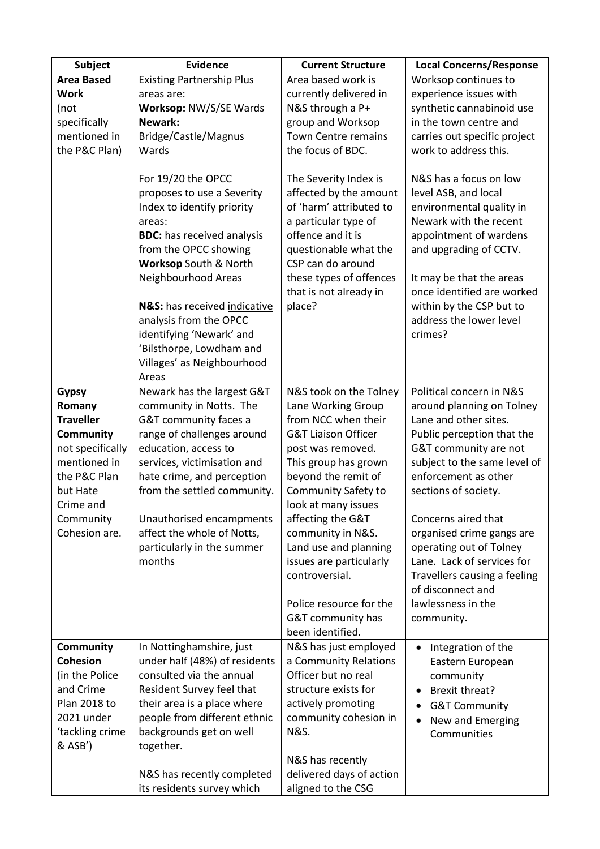| Subject                    | <b>Evidence</b>                                    | <b>Current Structure</b>                          | <b>Local Concerns/Response</b>                         |
|----------------------------|----------------------------------------------------|---------------------------------------------------|--------------------------------------------------------|
| <b>Area Based</b>          | <b>Existing Partnership Plus</b>                   | Area based work is                                | Worksop continues to                                   |
| <b>Work</b>                | areas are:                                         | currently delivered in                            | experience issues with                                 |
| (not                       | Worksop: NW/S/SE Wards                             | N&S through a P+                                  | synthetic cannabinoid use                              |
| specifically               | Newark:                                            | group and Worksop                                 | in the town centre and                                 |
| mentioned in               | Bridge/Castle/Magnus                               | Town Centre remains                               | carries out specific project                           |
| the P&C Plan)              | Wards                                              | the focus of BDC.                                 | work to address this.                                  |
|                            | For 19/20 the OPCC                                 | The Severity Index is                             | N&S has a focus on low                                 |
|                            | proposes to use a Severity                         | affected by the amount                            | level ASB, and local                                   |
|                            | Index to identify priority                         | of 'harm' attributed to                           | environmental quality in                               |
|                            | areas:                                             | a particular type of                              | Newark with the recent                                 |
|                            | <b>BDC:</b> has received analysis                  | offence and it is                                 | appointment of wardens                                 |
|                            | from the OPCC showing<br>Worksop South & North     | questionable what the<br>CSP can do around        | and upgrading of CCTV.                                 |
|                            | Neighbourhood Areas                                | these types of offences<br>that is not already in | It may be that the areas<br>once identified are worked |
|                            | N&S: has received indicative                       | place?                                            | within by the CSP but to<br>address the lower level    |
|                            | analysis from the OPCC<br>identifying 'Newark' and |                                                   | crimes?                                                |
|                            | 'Bilsthorpe, Lowdham and                           |                                                   |                                                        |
|                            | Villages' as Neighbourhood                         |                                                   |                                                        |
|                            | Areas                                              |                                                   |                                                        |
| <b>Gypsy</b>               | Newark has the largest G&T                         | N&S took on the Tolney                            | Political concern in N&S                               |
| Romany                     | community in Notts. The                            | Lane Working Group                                | around planning on Tolney                              |
| <b>Traveller</b>           | G&T community faces a                              | from NCC when their                               | Lane and other sites.                                  |
| <b>Community</b>           | range of challenges around                         | <b>G&amp;T Liaison Officer</b>                    | Public perception that the                             |
| not specifically           | education, access to                               | post was removed.                                 | G&T community are not                                  |
| mentioned in               | services, victimisation and                        | This group has grown                              | subject to the same level of                           |
| the P&C Plan               | hate crime, and perception                         | beyond the remit of                               | enforcement as other                                   |
| but Hate                   | from the settled community.                        | <b>Community Safety to</b>                        | sections of society.                                   |
| Crime and                  |                                                    | look at many issues                               |                                                        |
| Community                  | Unauthorised encampments                           | affecting the G&T                                 | Concerns aired that                                    |
| Cohesion are.              | affect the whole of Notts,                         | community in N&S.                                 | organised crime gangs are                              |
|                            | particularly in the summer<br>months               | Land use and planning                             | operating out of Tolney<br>Lane. Lack of services for  |
|                            |                                                    | issues are particularly<br>controversial.         | Travellers causing a feeling                           |
|                            |                                                    |                                                   | of disconnect and                                      |
|                            |                                                    | Police resource for the                           | lawlessness in the                                     |
|                            |                                                    | G&T community has                                 | community.                                             |
|                            |                                                    | been identified.                                  |                                                        |
| <b>Community</b>           | In Nottinghamshire, just                           | N&S has just employed                             | Integration of the                                     |
| <b>Cohesion</b>            | under half (48%) of residents                      | a Community Relations                             | Eastern European                                       |
| (in the Police             | consulted via the annual                           | Officer but no real                               | community                                              |
| and Crime                  | Resident Survey feel that                          | structure exists for                              | <b>Brexit threat?</b>                                  |
| Plan 2018 to               | their area is a place where                        | actively promoting                                | <b>G&amp;T Community</b>                               |
| 2021 under                 | people from different ethnic                       | community cohesion in                             | New and Emerging                                       |
| 'tackling crime<br>& ASB') | backgrounds get on well<br>together.               | <b>N&amp;S.</b>                                   | Communities                                            |
|                            |                                                    | N&S has recently                                  |                                                        |
|                            | N&S has recently completed                         | delivered days of action                          |                                                        |
|                            | its residents survey which                         | aligned to the CSG                                |                                                        |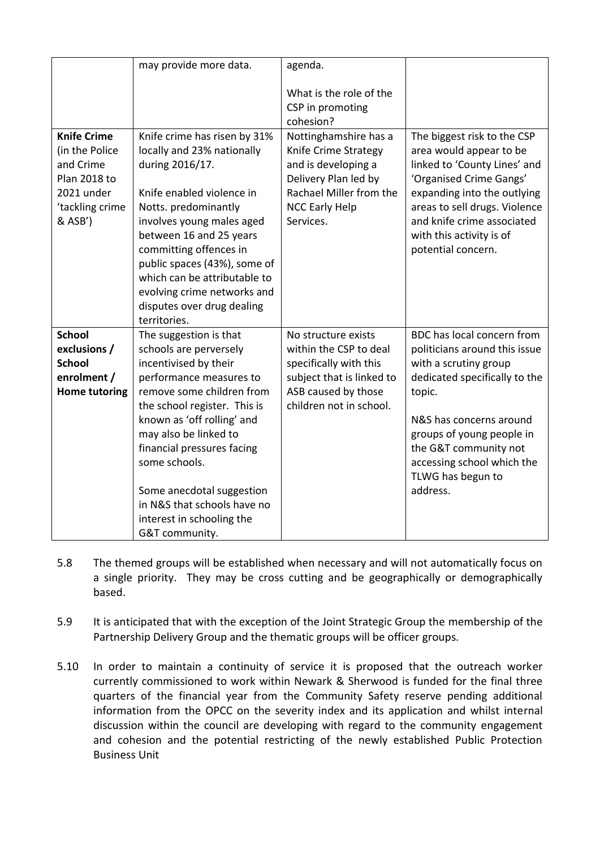|                                                                                                                      | may provide more data.                                                                                                                                                                                                                                                                                                                                                             | agenda.                                                                                                                                                       |                                                                                                                                                                                                                                                                                 |
|----------------------------------------------------------------------------------------------------------------------|------------------------------------------------------------------------------------------------------------------------------------------------------------------------------------------------------------------------------------------------------------------------------------------------------------------------------------------------------------------------------------|---------------------------------------------------------------------------------------------------------------------------------------------------------------|---------------------------------------------------------------------------------------------------------------------------------------------------------------------------------------------------------------------------------------------------------------------------------|
|                                                                                                                      |                                                                                                                                                                                                                                                                                                                                                                                    | What is the role of the<br>CSP in promoting<br>cohesion?                                                                                                      |                                                                                                                                                                                                                                                                                 |
| <b>Knife Crime</b><br>(in the Police<br>and Crime<br><b>Plan 2018 to</b><br>2021 under<br>'tackling crime<br>& ASB') | Knife crime has risen by 31%<br>locally and 23% nationally<br>during 2016/17.<br>Knife enabled violence in<br>Notts. predominantly<br>involves young males aged<br>between 16 and 25 years<br>committing offences in<br>public spaces (43%), some of<br>which can be attributable to<br>evolving crime networks and<br>disputes over drug dealing<br>territories.                  | Nottinghamshire has a<br>Knife Crime Strategy<br>and is developing a<br>Delivery Plan led by<br>Rachael Miller from the<br><b>NCC Early Help</b><br>Services. | The biggest risk to the CSP<br>area would appear to be<br>linked to 'County Lines' and<br>'Organised Crime Gangs'<br>expanding into the outlying<br>areas to sell drugs. Violence<br>and knife crime associated<br>with this activity is of<br>potential concern.               |
| <b>School</b><br>exclusions /<br><b>School</b><br>enrolment /<br><b>Home tutoring</b>                                | The suggestion is that<br>schools are perversely<br>incentivised by their<br>performance measures to<br>remove some children from<br>the school register. This is<br>known as 'off rolling' and<br>may also be linked to<br>financial pressures facing<br>some schools.<br>Some anecdotal suggestion<br>in N&S that schools have no<br>interest in schooling the<br>G&T community. | No structure exists<br>within the CSP to deal<br>specifically with this<br>subject that is linked to<br>ASB caused by those<br>children not in school.        | BDC has local concern from<br>politicians around this issue<br>with a scrutiny group<br>dedicated specifically to the<br>topic.<br>N&S has concerns around<br>groups of young people in<br>the G&T community not<br>accessing school which the<br>TLWG has begun to<br>address. |

- 5.8 The themed groups will be established when necessary and will not automatically focus on a single priority. They may be cross cutting and be geographically or demographically based.
- 5.9 It is anticipated that with the exception of the Joint Strategic Group the membership of the Partnership Delivery Group and the thematic groups will be officer groups.
- 5.10 In order to maintain a continuity of service it is proposed that the outreach worker currently commissioned to work within Newark & Sherwood is funded for the final three quarters of the financial year from the Community Safety reserve pending additional information from the OPCC on the severity index and its application and whilst internal discussion within the council are developing with regard to the community engagement and cohesion and the potential restricting of the newly established Public Protection Business Unit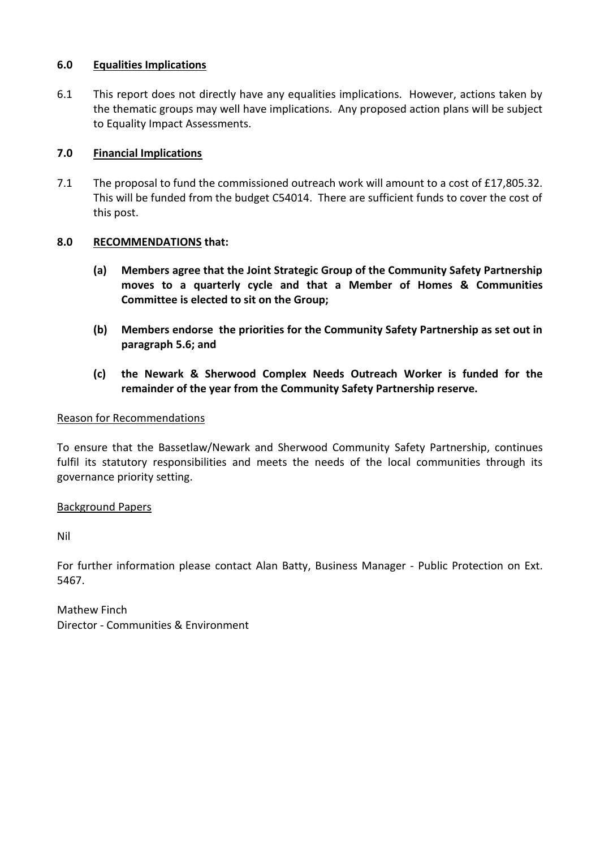### **6.0 Equalities Implications**

6.1 This report does not directly have any equalities implications. However, actions taken by the thematic groups may well have implications. Any proposed action plans will be subject to Equality Impact Assessments.

## **7.0 Financial Implications**

7.1 The proposal to fund the commissioned outreach work will amount to a cost of £17,805.32. This will be funded from the budget C54014. There are sufficient funds to cover the cost of this post.

## **8.0 RECOMMENDATIONS that:**

- **(a) Members agree that the Joint Strategic Group of the Community Safety Partnership moves to a quarterly cycle and that a Member of Homes & Communities Committee is elected to sit on the Group;**
- **(b) Members endorse the priorities for the Community Safety Partnership as set out in paragraph 5.6; and**
- **(c) the Newark & Sherwood Complex Needs Outreach Worker is funded for the remainder of the year from the Community Safety Partnership reserve.**

### Reason for Recommendations

To ensure that the Bassetlaw/Newark and Sherwood Community Safety Partnership, continues fulfil its statutory responsibilities and meets the needs of the local communities through its governance priority setting.

### Background Papers

Nil

For further information please contact Alan Batty, Business Manager - Public Protection on Ext. 5467.

Mathew Finch Director - Communities & Environment